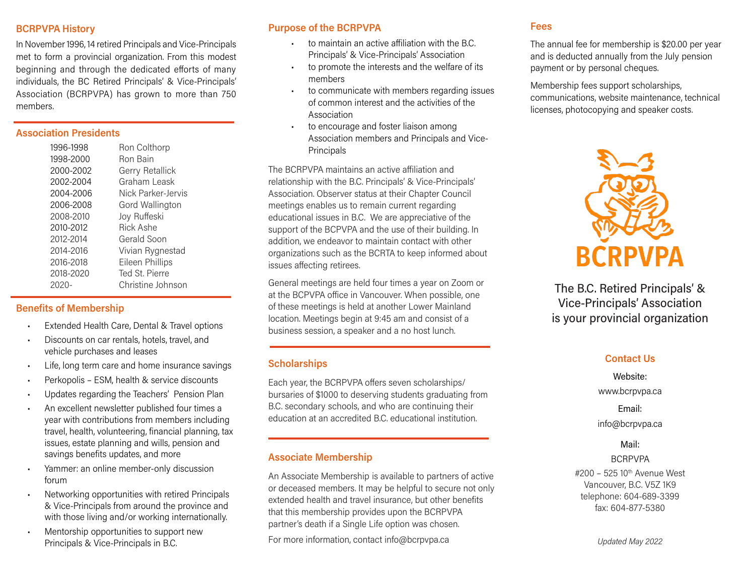### BCRPVPA History

In November 1996, 14 retired Principals and Vice-Principals met to form a provincial organization. From this modest beginning and through the dedicated efforts of many individuals, the BC Retired Principals' & Vice-Principals' Association (BCRPVPA) has grown to more than 750 members.

# Association Presidents

| 1996-1998 | Ron Colthorp       |
|-----------|--------------------|
| 1998-2000 | <b>Ron Bain</b>    |
| 2000-2002 | Gerry Retallick    |
| 2002-2004 | Graham Leask       |
| 2004-2006 | Nick Parker-Jervis |
| 2006-2008 | Gord Wallington    |
| 2008-2010 | Joy Ruffeski       |
| 2010-2012 | <b>Rick Ashe</b>   |
| 2012-2014 | Gerald Soon        |
| 2014-2016 | Vivian Rygnestad   |
| 2016-2018 | Eileen Phillips    |
| 2018-2020 | Ted St. Pierre     |
| 2020-     | Christine Johnson  |

#### Benefits of Membership

- Extended Health Care, Dental & Travel options
- Discounts on car rentals, hotels, travel, and vehicle purchases and leases
- Life, long term care and home insurance savings
- Perkopolis ESM, health & service discounts
- Updates regarding the Teachers' Pension Plan
- An excellent newsletter published four times a year with contributions from members including travel, health, volunteering, financial planning, tax issues, estate planning and wills, pension and savings benefits updates, and more
- Yammer: an online member-only discussion forum
- Networking opportunities with retired Principals & Vice-Principals from around the province and with those living and/or working internationally.
- Mentorship opportunities to support new Principals & Vice-Principals in B.C.

## Purpose of the BCRPVPA

- to maintain an active affiliation with the B.C. Principals' & Vice-Principals' Association
- to promote the interests and the welfare of its members
- to communicate with members regarding issues of common interest and the activities of the Association
- to encourage and foster liaison among Association members and Principals and Vice-Principals

The BCRPVPA maintains an active affiliation and relationship with the B.C. Principals' & Vice-Principals' Association. Observer status at their Chapter Council meetings enables us to remain current regarding educational issues in B.C. We are appreciative of the support of the BCPVPA and the use of their building. In addition, we endeavor to maintain contact with other organizations such as the BCRTA to keep informed about issues affecting retirees.

General meetings are held four times a year on Zoom or at the BCPVPA office in Vancouver. When possible, one of these meetings is held at another Lower Mainland location. Meetings begin at 9:45 am and consist of a business session, a speaker and a no host lunch.

## **Scholarships**

Each year, the BCRPVPA offers seven scholarships/ bursaries of \$1000 to deserving students graduating from B.C. secondary schools, and who are continuing their education at an accredited B.C. educational institution.

### Associate Membership

An Associate Membership is available to partners of active or deceased members. It may be helpful to secure not only extended health and travel insurance, but other benefits that this membership provides upon the BCRPVPA partner's death if a Single Life option was chosen.

For more information, contact info@bcrpvpa.ca

### Fees

The annual fee for membership is \$20.00 per year and is deducted annually from the July pension payment or by personal cheques.

Membership fees support scholarships, communications, website maintenance, technical licenses, photocopying and speaker costs.



The B.C. Retired Principals' & Vice-Principals' Association is your provincial organization

### Contact Us

Website: www.bcrpvpa.ca

## Email:

info@bcrpvpa.ca

### Mail:

## BCRPVPA

#200 - 525 10<sup>th</sup> Avenue West Vancouver, B.C. V5Z 1K9 telephone: 604-689-3399 fax: 604-877-5380

Updated May 2022